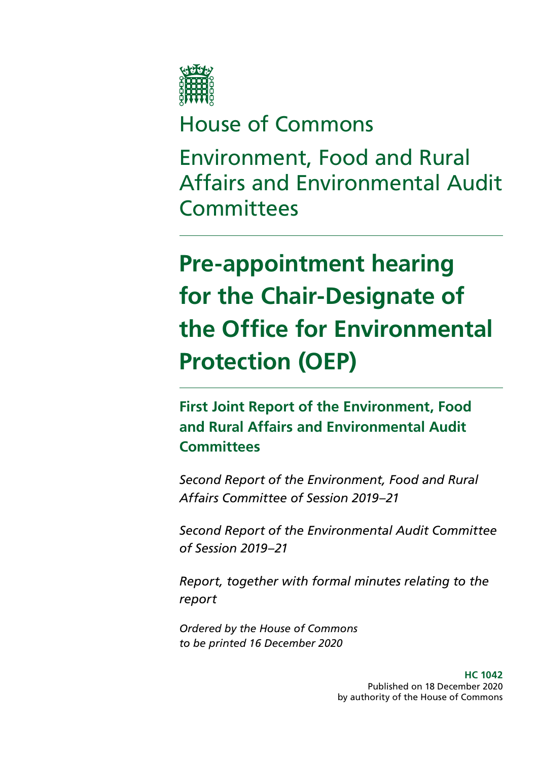

# House of Commons

Environment, Food and Rural Affairs and Environmental Audit **Committees** 

# **Pre-appointment hearing for the Chair-Designate of the Office for Environmental Protection (OEP)**

**First Joint Report of the Environment, Food and Rural Affairs and Environmental Audit Committees**

*Second Report of the Environment, Food and Rural Affairs Committee of Session 2019–21*

*Second Report of the Environmental Audit Committee of Session 2019–21*

*Report, together with formal minutes relating to the report*

*Ordered by the House of Commons to be printed 16 December 2020*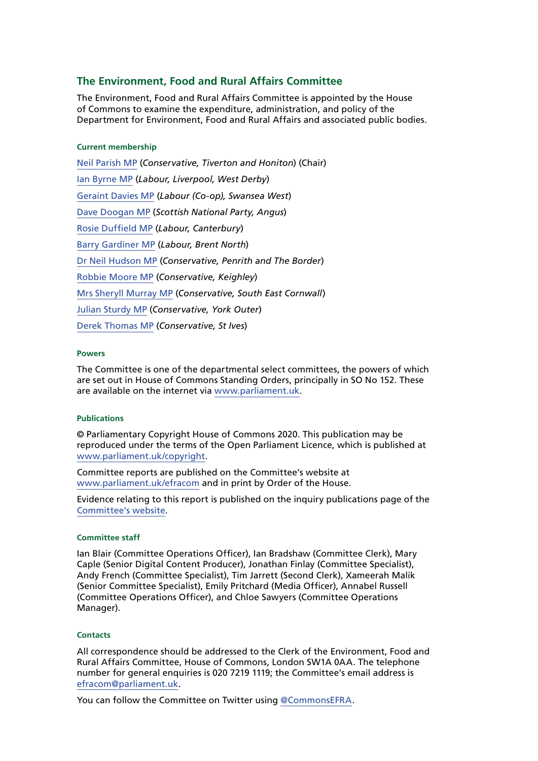### **The Environment, Food and Rural Affairs Committee**

The Environment, Food and Rural Affairs Committee is appointed by the House of Commons to examine the expenditure, administration, and policy of the Department for Environment, Food and Rural Affairs and associated public bodies.

#### **Current membership**

[Neil Parish MP](https://www.parliament.uk/biographies/commons/neil-parish/4072) (*Conservative, Tiverton and Honiton*) (Chair) [Ian Byrne MP](https://members.parliament.uk/member/4831/contact) (*Labour, Liverpool, West Derby*) [Geraint Davies MP](https://members.parliament.uk/member/155/contact) (*Labour (Co-op), Swansea West*) [Dave Doogan MP](https://members.parliament.uk/member/4736/contact) (*Scottish National Party, Angus*) [Rosie Duffield MP](https://members.parliament.uk/member/4616/contact) (*Labour, Canterbury*) [Barry Gardiner MP](https://members.parliament.uk/member/146/contact) (*Labour, Brent North*) [Dr Neil Hudson MP](https://members.parliament.uk/member/4853/contact) (*Conservative, Penrith and The Border*) [Robbie Moore MP](https://members.parliament.uk/member/4861/contact) (*Conservative, Keighley*) [Mrs Sheryll Murray MP](https://www.parliament.uk/biographies/commons/mrs-sheryll-murray/4100) (*Conservative, South East Cornwall*) [Julian Sturdy MP](https://www.parliament.uk/biographies/commons/julian-sturdy/4079) (*Conservative, York Outer*) [Derek Thomas MP](https://members.parliament.uk/member/4532/contact) (*Conservative, St Ives*)

#### **Powers**

The Committee is one of the departmental select committees, the powers of which are set out in House of Commons Standing Orders, principally in SO No 152. These are available on the internet via [www.parliament.uk.](https://www.parliament.uk/)

#### **Publications**

© Parliamentary Copyright House of Commons 2020. This publication may be reproduced under the terms of the Open Parliament Licence, which is published at [www.parliament.uk/copyright](https://www.parliament.uk/copyright/).

Committee reports are published on the Committee's website at [www.parliament.uk/efracom](https://www.parliament.uk/business/committees/committees-a-z/commons-select/environment-food-and-rural-affairs-committee/) and in print by Order of the House.

Evidence relating to this report is published on the inquiry publications page of the [Committee's website.](https://committees.parliament.uk/work/217/covid19-and-food-supply/publications/)

#### **Committee staff**

Ian Blair (Committee Operations Officer), Ian Bradshaw (Committee Clerk), Mary Caple (Senior Digital Content Producer), Jonathan Finlay (Committee Specialist), Andy French (Committee Specialist), Tim Jarrett (Second Clerk), Xameerah Malik (Senior Committee Specialist), Emily Pritchard (Media Officer), Annabel Russell (Committee Operations Officer), and Chloe Sawyers (Committee Operations Manager).

#### **Contacts**

All correspondence should be addressed to the Clerk of the Environment, Food and Rural Affairs Committee, House of Commons, London SW1A 0AA. The telephone number for general enquiries is 020 7219 1119; the Committee's email address is [efracom@parliament.uk](mailto:efracom%40parliament.uk?subject=).

You can follow the Committee on Twitter using [@Commons](https://twitter.com/CommonsEFRA)EFRA.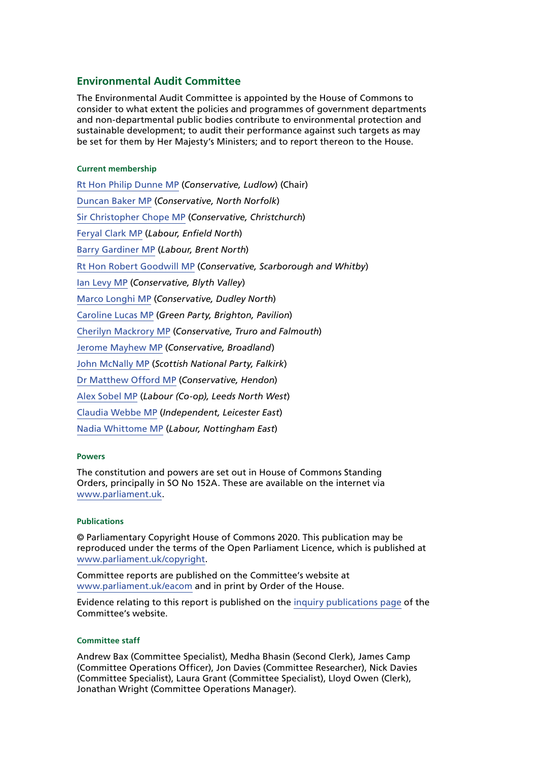#### **Environmental Audit Committee**

The Environmental Audit Committee is appointed by the House of Commons to consider to what extent the policies and programmes of government departments and non-departmental public bodies contribute to environmental protection and sustainable development; to audit their performance against such targets as may be set for them by Her Majesty's Ministers; and to report thereon to the House.

#### **Current membership**

[Rt Hon Philip Dunne MP](https://www.parliament.uk/biographies/commons/mr-philip-dunne/1542) (*Conservative, Ludlow*) (Chair) [Duncan Baker MP](https://members.parliament.uk/member/4784/contact) (*Conservative, North Norfolk*) [Sir Christopher Chope MP](https://members.parliament.uk/member/242/contact) (*Conservative, Christchurch*) [Feryal Clark MP](https://members.parliament.uk/member/4822/contact) (*Labour, Enfield North*) [Barry Gardiner MP](https://members.parliament.uk/member/146/contact) (*Labour, Brent North*) [Rt Hon Robert Goodwill MP](https://members.parliament.uk/member/1562/contact) (*Conservative, Scarborough and Whitby*) [Ian Levy MP](https://members.parliament.uk/member/4749/contact) (*Conservative, Blyth Valley*) [Marco Longhi MP](https://members.parliament.uk/member/4789/contact) (*Conservative, Dudley North*) [Caroline Lucas MP](https://members.parliament.uk/member/3930/contact) (*Green Party, Brighton, Pavilion*) [Cherilyn Mackrory MP](https://members.parliament.uk/member/4758/contact) (*Conservative, Truro and Falmouth*) [Jerome Mayhew MP](https://members.parliament.uk/member/4739/contact) (*Conservative, Broadland*) [John McNally MP](https://members.parliament.uk/member/4424/contact) (*Scottish National Party, Falkirk*) [Dr Matthew Offord MP](https://members.parliament.uk/member/4006/contact) (*Conservative, Hendon*) [Alex Sobel MP](https://www.parliament.uk/biographies/commons/alex-sobel/4658) (*Labour (Co-op), Leeds North West*) [Claudia Webbe MP](https://members.parliament.uk/member/4848/contact) (*Independent, Leicester East*) [Nadia Whittome MP](https://members.parliament.uk/member/4869/contact) (*Labour, Nottingham East*)

#### **Powers**

The constitution and powers are set out in House of Commons Standing Orders, principally in SO No 152A. These are available on the internet via [www.parliament.uk](https://www.parliament.uk/).

#### **Publications**

© Parliamentary Copyright House of Commons 2020. This publication may be reproduced under the terms of the Open Parliament Licence, which is published at [www.parliament.uk/copyright](https://www.parliament.uk/site-information/copyright-parliament/).

Committee reports are published on the Committee's website at [www.parliament.uk/eacom](https://www.parliament.uk/eacom) and in print by Order of the House.

Evidence relating to this report is published on the [inquiry publications page](https://committees.parliament.uk/work/853/preappointment-hearing-for-the-chairdesignate-of-the-office-for-environmental-protection/publications/) of the Committee's website.

#### **Committee staff**

Andrew Bax (Committee Specialist), Medha Bhasin (Second Clerk), James Camp (Committee Operations Officer), Jon Davies (Committee Researcher), Nick Davies (Committee Specialist), Laura Grant (Committee Specialist), Lloyd Owen (Clerk), Jonathan Wright (Committee Operations Manager).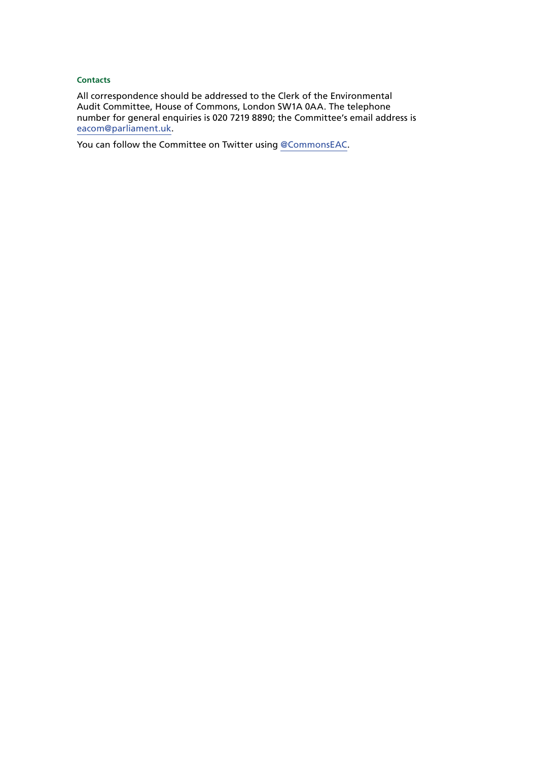#### **Contacts**

All correspondence should be addressed to the Clerk of the Environmental Audit Committee, House of Commons, London SW1A 0AA. The telephone number for general enquiries is 020 7219 8890; the Committee's email address is [eacom@parliament.uk.](mailto:eacom%40parliament.uk?subject=)

You can follow the Committee on Twitter using [@CommonsEAC](https://twitter.com/CommonsEAC).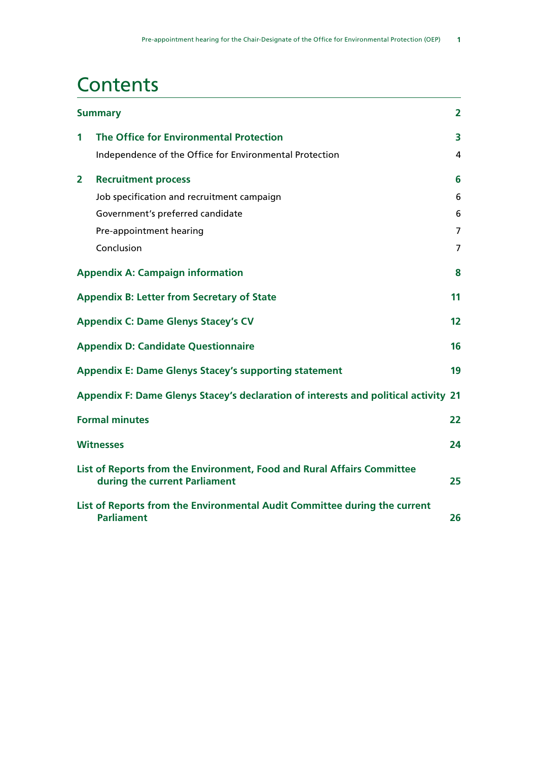# **Contents**

|                | <b>Summary</b>                                                                                          |                |  |
|----------------|---------------------------------------------------------------------------------------------------------|----------------|--|
| 1              | The Office for Environmental Protection                                                                 | 3              |  |
|                | Independence of the Office for Environmental Protection                                                 | 4              |  |
| $\overline{2}$ | <b>Recruitment process</b>                                                                              | 6              |  |
|                | Job specification and recruitment campaign                                                              | 6              |  |
|                | Government's preferred candidate                                                                        | 6              |  |
|                | Pre-appointment hearing                                                                                 | $\overline{7}$ |  |
|                | Conclusion                                                                                              | 7              |  |
|                | <b>Appendix A: Campaign information</b>                                                                 | 8              |  |
|                | <b>Appendix B: Letter from Secretary of State</b>                                                       | 11             |  |
|                | <b>Appendix C: Dame Glenys Stacey's CV</b>                                                              | 12             |  |
|                | <b>Appendix D: Candidate Questionnaire</b>                                                              | 16             |  |
|                | <b>Appendix E: Dame Glenys Stacey's supporting statement</b>                                            | 19             |  |
|                | Appendix F: Dame Glenys Stacey's declaration of interests and political activity 21                     |                |  |
|                | <b>Formal minutes</b>                                                                                   | 22             |  |
|                | <b>Witnesses</b>                                                                                        | 24             |  |
|                | List of Reports from the Environment, Food and Rural Affairs Committee<br>during the current Parliament | 25             |  |
|                | List of Reports from the Environmental Audit Committee during the current<br><b>Parliament</b>          | 26             |  |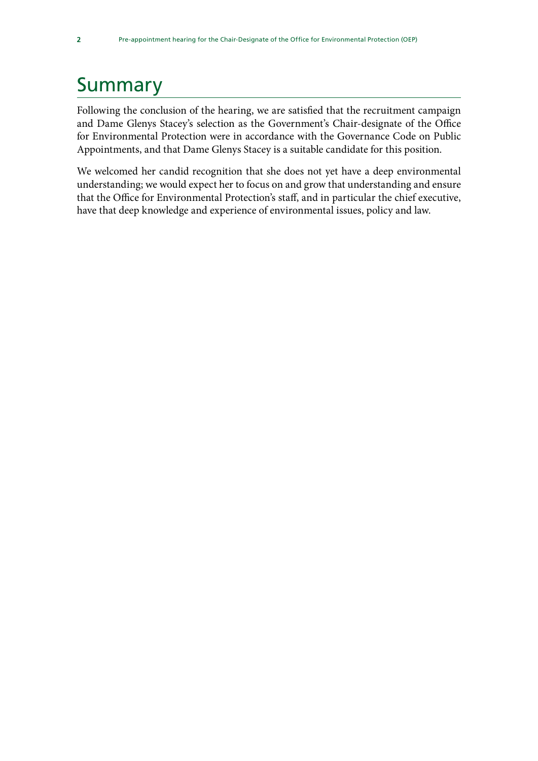# <span id="page-5-0"></span>Summary

Following the conclusion of the hearing, we are satisfied that the recruitment campaign and Dame Glenys Stacey's selection as the Government's Chair-designate of the Office for Environmental Protection were in accordance with the Governance Code on Public Appointments, and that Dame Glenys Stacey is a suitable candidate for this position.

We welcomed her candid recognition that she does not yet have a deep environmental understanding; we would expect her to focus on and grow that understanding and ensure that the Office for Environmental Protection's staff, and in particular the chief executive, have that deep knowledge and experience of environmental issues, policy and law.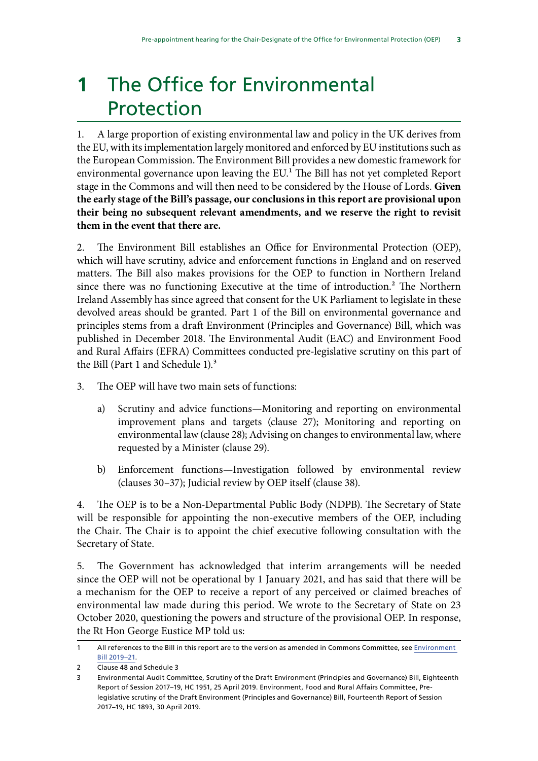# <span id="page-6-0"></span>**1** The Office for Environmental Protection

1. A large proportion of existing environmental law and policy in the UK derives from the EU, with its implementation largely monitored and enforced by EU institutions such as the European Commission. The Environment Bill provides a new domestic framework for environmental governance upon leaving the EU.<sup>1</sup> The Bill has not yet completed Report stage in the Commons and will then need to be considered by the House of Lords. **Given the early stage of the Bill's passage, our conclusions in this report are provisional upon their being no subsequent relevant amendments, and we reserve the right to revisit them in the event that there are.**

2. The Environment Bill establishes an Office for Environmental Protection (OEP), which will have scrutiny, advice and enforcement functions in England and on reserved matters. The Bill also makes provisions for the OEP to function in Northern Ireland since there was no functioning Executive at the time of introduction.<sup>2</sup> The Northern Ireland Assembly has since agreed that consent for the UK Parliament to legislate in these devolved areas should be granted. Part 1 of the Bill on environmental governance and principles stems from a draft Environment (Principles and Governance) Bill, which was published in December 2018. The Environmental Audit (EAC) and Environment Food and Rural Affairs (EFRA) Committees conducted pre-legislative scrutiny on this part of the Bill (Part 1 and Schedule 1).<sup>3</sup>

- 3. The OEP will have two main sets of functions:
	- a) Scrutiny and advice functions—Monitoring and reporting on environmental improvement plans and targets (clause 27); Monitoring and reporting on environmental law (clause 28); Advising on changes to environmental law, where requested by a Minister (clause 29).
	- b) Enforcement functions—Investigation followed by environmental review (clauses 30–37); Judicial review by OEP itself (clause 38).

4. The OEP is to be a Non-Departmental Public Body (NDPB). The Secretary of State will be responsible for appointing the non-executive members of the OEP, including the Chair. The Chair is to appoint the chief executive following consultation with the Secretary of State.

5. The Government has acknowledged that interim arrangements will be needed since the OEP will not be operational by 1 January 2021, and has said that there will be a mechanism for the OEP to receive a report of any perceived or claimed breaches of environmental law made during this period. We wrote to the Secretary of State on 23 October 2020, questioning the powers and structure of the provisional OEP. In response, the Rt Hon George Eustice MP told us:

<sup>1</sup> All references to the Bill in this report are to the version as amended in Commons Committee, see [Environment](https://services.parliament.uk/bills/2019-21/environment.html)  [Bill 2019–21.](https://services.parliament.uk/bills/2019-21/environment.html)

<sup>2</sup> Clause 48 and Schedule 3

<sup>3</sup> Environmental Audit Committee, Scrutiny of the Draft Environment (Principles and Governance) Bill, Eighteenth Report of Session 2017–19, HC 1951, 25 April 2019. Environment, Food and Rural Affairs Committee, Prelegislative scrutiny of the Draft Environment (Principles and Governance) Bill, Fourteenth Report of Session 2017–19, HC 1893, 30 April 2019.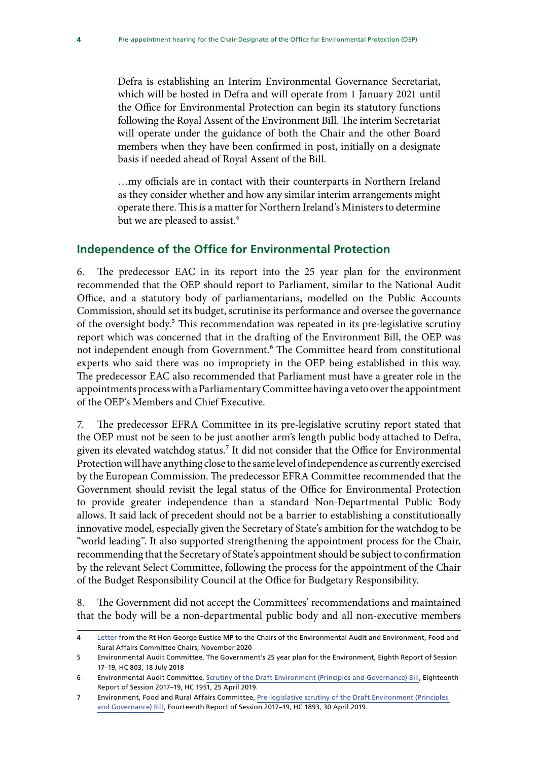<span id="page-7-0"></span>Defra is establishing an Interim Environmental Governance Secretariat, which will be hosted in Defra and will operate from 1 January 2021 until the Office for Environmental Protection can begin its statutory functions following the Royal Assent of the Environment Bill. The interim Secretariat will operate under the guidance of both the Chair and the other Board members when they have been confirmed in post, initially on a designate basis if needed ahead of Royal Assent of the Bill.

…my officials are in contact with their counterparts in Northern Ireland as they consider whether and how any similar interim arrangements might operate there. This is a matter for Northern Ireland's Ministers to determine but we are pleased to assist.<sup>4</sup>

### **Independence of the Office for Environmental Protection**

6. The predecessor EAC in its report into the 25 year plan for the environment recommended that the OEP should report to Parliament, similar to the National Audit Office, and a statutory body of parliamentarians, modelled on the Public Accounts Commission, should set its budget, scrutinise its performance and oversee the governance of the oversight body.<sup>5</sup> This recommendation was repeated in its pre-legislative scrutiny report which was concerned that in the drafting of the Environment Bill, the OEP was not independent enough from Government.<sup>6</sup> The Committee heard from constitutional experts who said there was no impropriety in the OEP being established in this way. The predecessor EAC also recommended that Parliament must have a greater role in the appointments process with a Parliamentary Committee having a veto over the appointment of the OEP's Members and Chief Executive.

7. The predecessor EFRA Committee in its pre-legislative scrutiny report stated that the OEP must not be seen to be just another arm's length public body attached to Defra, given its elevated watchdog status.<sup>7</sup> It did not consider that the Office for Environmental Protection will have anything close to the same level of independence as currently exercised by the European Commission. The predecessor EFRA Committee recommended that the Government should revisit the legal status of the Office for Environmental Protection to provide greater independence than a standard Non-Departmental Public Body allows. It said lack of precedent should not be a barrier to establishing a constitutionally innovative model, especially given the Secretary of State's ambition for the watchdog to be "world leading". It also supported strengthening the appointment process for the Chair, recommending that the Secretary of State's appointment should be subject to confirmation by the relevant Select Committee, following the process for the appointment of the Chair of the Budget Responsibility Council at the Office for Budgetary Responsibility.

8. The Government did not accept the Committees' recommendations and maintained that the body will be a non-departmental public body and all non-executive members

<sup>4</sup> [Letter](https://committees.parliament.uk/publications/3550/documents/34023/default/) from the Rt Hon George Eustice MP to the Chairs of the Environmental Audit and Environment, Food and Rural Affairs Committee Chairs, November 2020

<sup>5</sup> Environmental Audit Committee, The Government's 25 year plan for the Environment, Eighth Report of Session 17–19, HC 803, 18 July 2018

<sup>6</sup> Environmental Audit Committee, [Scrutiny of the Draft Environment \(Principles and Governance\) Bill,](https://publications.parliament.uk/pa/cm201719/cmselect/cmenvaud/1951/1951.pdf) Eighteenth Report of Session 2017–19, HC 1951, 25 April 2019.

<sup>7</sup> Environment, Food and Rural Affairs Committee, [Pre-legislative scrutiny of the Draft Environment \(Principles](https://publications.parliament.uk/pa/cm201719/cmselect/cmenvfru/1893/1893.pdf)  [and Governance\) Bill](https://publications.parliament.uk/pa/cm201719/cmselect/cmenvfru/1893/1893.pdf), Fourteenth Report of Session 2017–19, HC 1893, 30 April 2019.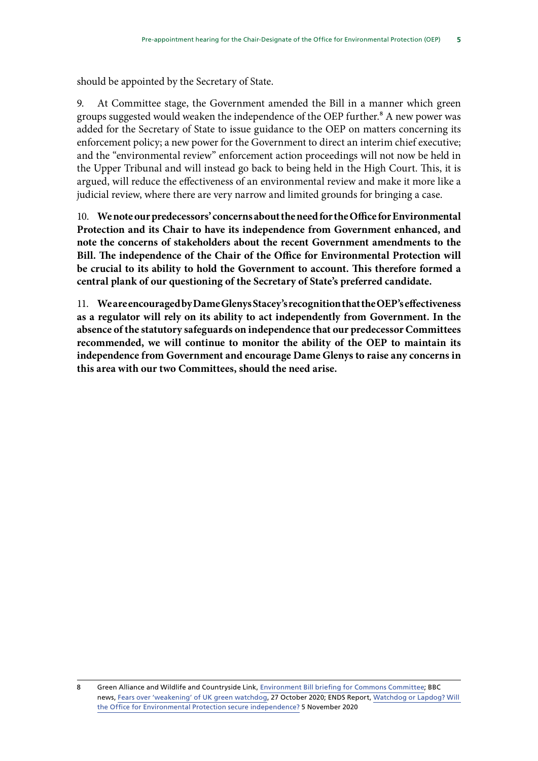should be appointed by the Secretary of State.

9. At Committee stage, the Government amended the Bill in a manner which green groups suggested would weaken the independence of the OEP further.<sup>8</sup> A new power was added for the Secretary of State to issue guidance to the OEP on matters concerning its enforcement policy; a new power for the Government to direct an interim chief executive; and the "environmental review" enforcement action proceedings will not now be held in the Upper Tribunal and will instead go back to being held in the High Court. This, it is argued, will reduce the effectiveness of an environmental review and make it more like a judicial review, where there are very narrow and limited grounds for bringing a case.

10. **We note our predecessors' concerns about the need for the Office for Environmental Protection and its Chair to have its independence from Government enhanced, and note the concerns of stakeholders about the recent Government amendments to the Bill. The independence of the Chair of the Office for Environmental Protection will be crucial to its ability to hold the Government to account. This therefore formed a central plank of our questioning of the Secretary of State's preferred candidate.**

11. **We are encouraged by Dame Glenys Stacey's recognition that the OEP's effectiveness as a regulator will rely on its ability to act independently from Government. In the absence of the statutory safeguards on independence that our predecessor Committees recommended, we will continue to monitor the ability of the OEP to maintain its independence from Government and encourage Dame Glenys to raise any concerns in this area with our two Committees, should the need arise.**

<sup>8</sup> Green Alliance and Wildlife and Countryside Link, [Environment Bill briefing for Commons Committee;](https://greeneruk.org/sites/default/files/download/2020-11/Greener_UK_and_Link_briefing_Environment_Bill_Committee_govt_amendments_on_the_OEP.pdf) BBC news, [Fears over 'weakening' of UK green watchdog,](https://www.bbc.co.uk/news/science-environment-54706675) 27 October 2020; ENDS Report, [Watchdog or Lapdog? Will](https://www.endsreport.com/article/1699308/watchdog-lapdog-will-office-environmental-protection-secure-independence)  [the Office for Environmental Protection secure independence?](https://www.endsreport.com/article/1699308/watchdog-lapdog-will-office-environmental-protection-secure-independence) 5 November 2020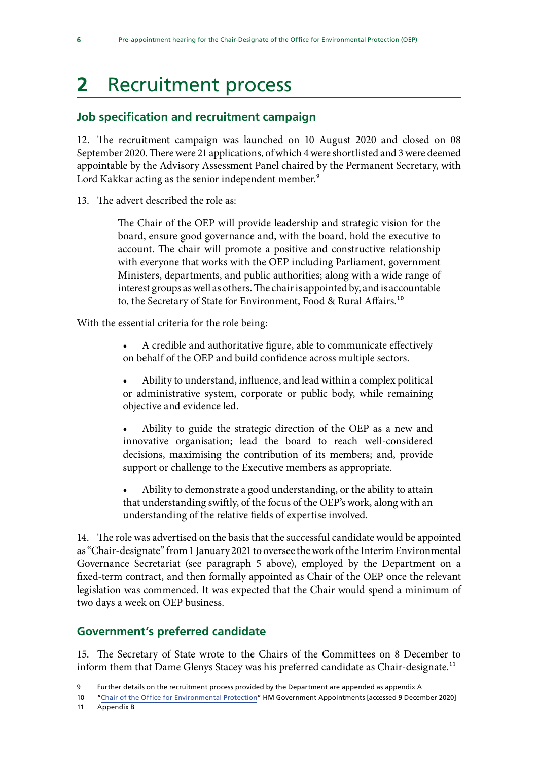# <span id="page-9-0"></span>**2** Recruitment process

## **Job specification and recruitment campaign**

12. The recruitment campaign was launched on 10 August 2020 and closed on 08 September 2020. There were 21 applications, of which 4 were shortlisted and 3 were deemed appointable by the Advisory Assessment Panel chaired by the Permanent Secretary, with Lord Kakkar acting as the senior independent member.<sup>9</sup>

13. The advert described the role as:

The Chair of the OEP will provide leadership and strategic vision for the board, ensure good governance and, with the board, hold the executive to account. The chair will promote a positive and constructive relationship with everyone that works with the OEP including Parliament, government Ministers, departments, and public authorities; along with a wide range of interest groups as well as others. The chair is appointed by, and is accountable to, the Secretary of State for Environment, Food & Rural Affairs.<sup>10</sup>

With the essential criteria for the role being:

- A credible and authoritative figure, able to communicate effectively on behalf of the OEP and build confidence across multiple sectors.
- Ability to understand, influence, and lead within a complex political or administrative system, corporate or public body, while remaining objective and evidence led.

• Ability to guide the strategic direction of the OEP as a new and innovative organisation; lead the board to reach well-considered decisions, maximising the contribution of its members; and, provide support or challenge to the Executive members as appropriate.

• Ability to demonstrate a good understanding, or the ability to attain that understanding swiftly, of the focus of the OEP's work, along with an understanding of the relative fields of expertise involved.

14. The role was advertised on the basis that the successful candidate would be appointed as "Chair-designate" from 1 January 2021 to oversee the work of the Interim Environmental Governance Secretariat (see paragraph 5 above), employed by the Department on a fixed-term contract, and then formally appointed as Chair of the OEP once the relevant legislation was commenced. It was expected that the Chair would spend a minimum of two days a week on OEP business.

## **Government's preferred candidate**

15. The Secretary of State wrote to the Chairs of the Committees on 8 December to inform them that Dame Glenys Stacey was his preferred candidate as Chair-designate.<sup>11</sup>

11 Appendix B

<sup>9</sup> Further details on the recruitment process provided by the Department are appended as appendix A

<sup>10</sup> "[Chair of the Office for Environmental Protection"](https://publicappointments.cabinetoffice.gov.uk/appointment/chair-of-the-office-of-environmental-protection/) HM Government Appointments [accessed 9 December 2020]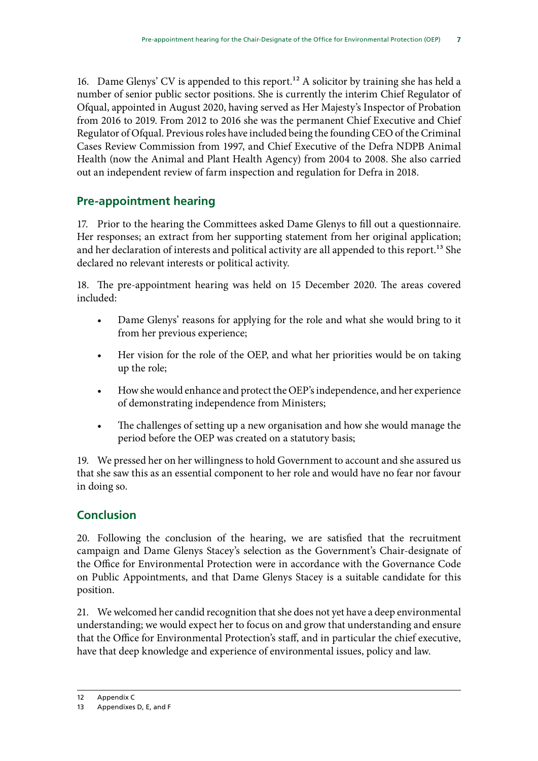<span id="page-10-0"></span>16. Dame Glenys' CV is appended to this report.<sup>12</sup> A solicitor by training she has held a number of senior public sector positions. She is currently the interim Chief Regulator of Ofqual, appointed in August 2020, having served as Her Majesty's Inspector of Probation from 2016 to 2019. From 2012 to 2016 she was the permanent Chief Executive and Chief Regulator of Ofqual. Previous roles have included being the founding CEO of the Criminal Cases Review Commission from 1997, and Chief Executive of the Defra NDPB Animal Health (now the Animal and Plant Health Agency) from 2004 to 2008. She also carried out an independent review of farm inspection and regulation for Defra in 2018.

## **Pre-appointment hearing**

17. Prior to the hearing the Committees asked Dame Glenys to fill out a questionnaire. Her responses; an extract from her supporting statement from her original application; and her declaration of interests and political activity are all appended to this report.<sup>13</sup> She declared no relevant interests or political activity.

18. The pre-appointment hearing was held on 15 December 2020. The areas covered included:

- Dame Glenys' reasons for applying for the role and what she would bring to it from her previous experience;
- Her vision for the role of the OEP, and what her priorities would be on taking up the role;
- How she would enhance and protect the OEP's independence, and her experience of demonstrating independence from Ministers;
- The challenges of setting up a new organisation and how she would manage the period before the OEP was created on a statutory basis;

19. We pressed her on her willingness to hold Government to account and she assured us that she saw this as an essential component to her role and would have no fear nor favour in doing so.

## **Conclusion**

20. Following the conclusion of the hearing, we are satisfied that the recruitment campaign and Dame Glenys Stacey's selection as the Government's Chair-designate of the Office for Environmental Protection were in accordance with the Governance Code on Public Appointments, and that Dame Glenys Stacey is a suitable candidate for this position.

21. We welcomed her candid recognition that she does not yet have a deep environmental understanding; we would expect her to focus on and grow that understanding and ensure that the Office for Environmental Protection's staff, and in particular the chief executive, have that deep knowledge and experience of environmental issues, policy and law.

<sup>12</sup> Appendix C

<sup>13</sup> Appendixes D, E, and F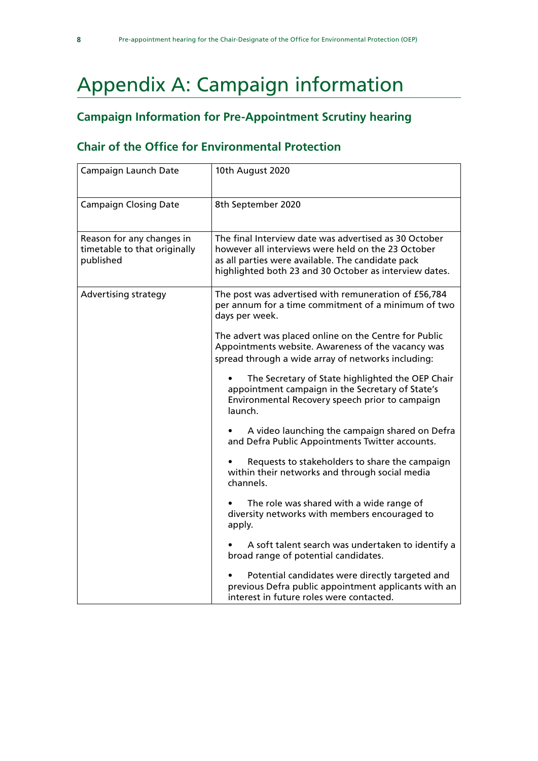# <span id="page-11-0"></span>Appendix A: Campaign information

## **Campaign Information for Pre-Appointment Scrutiny hearing**

## **Chair of the Office for Environmental Protection**

| Campaign Launch Date                                                   | 10th August 2020                                                                                                                                                                                                           |
|------------------------------------------------------------------------|----------------------------------------------------------------------------------------------------------------------------------------------------------------------------------------------------------------------------|
| <b>Campaign Closing Date</b>                                           | 8th September 2020                                                                                                                                                                                                         |
| Reason for any changes in<br>timetable to that originally<br>published | The final Interview date was advertised as 30 October<br>however all interviews were held on the 23 October<br>as all parties were available. The candidate pack<br>highlighted both 23 and 30 October as interview dates. |
| <b>Advertising strategy</b>                                            | The post was advertised with remuneration of £56,784<br>per annum for a time commitment of a minimum of two<br>days per week.                                                                                              |
|                                                                        | The advert was placed online on the Centre for Public<br>Appointments website. Awareness of the vacancy was<br>spread through a wide array of networks including:                                                          |
|                                                                        | The Secretary of State highlighted the OEP Chair<br>$\bullet$<br>appointment campaign in the Secretary of State's<br>Environmental Recovery speech prior to campaign<br>launch.                                            |
|                                                                        | A video launching the campaign shared on Defra<br>and Defra Public Appointments Twitter accounts.                                                                                                                          |
|                                                                        | Requests to stakeholders to share the campaign<br>within their networks and through social media<br>channels.                                                                                                              |
|                                                                        | The role was shared with a wide range of<br>diversity networks with members encouraged to<br>apply.                                                                                                                        |
|                                                                        | A soft talent search was undertaken to identify a<br>broad range of potential candidates.                                                                                                                                  |
|                                                                        | Potential candidates were directly targeted and<br>previous Defra public appointment applicants with an<br>interest in future roles were contacted.                                                                        |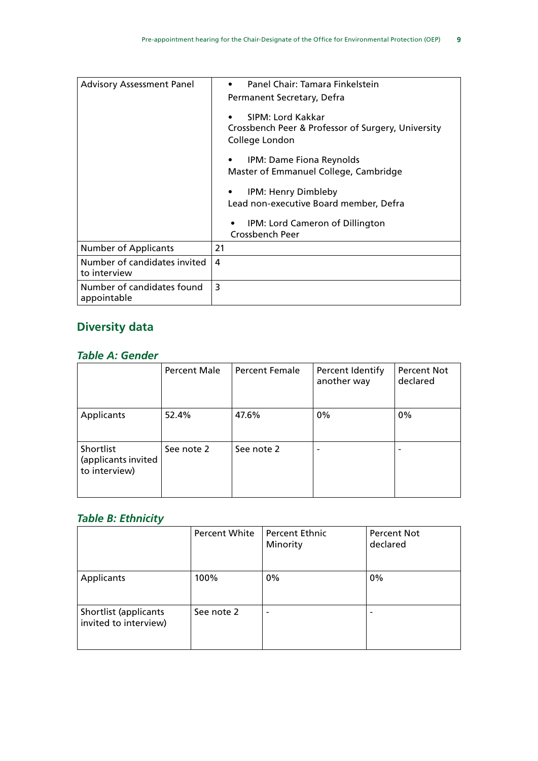| <b>Advisory Assessment Panel</b>             | Panel Chair: Tamara Finkelstein                                         |
|----------------------------------------------|-------------------------------------------------------------------------|
|                                              | Permanent Secretary, Defra                                              |
|                                              | SIPM: Lord Kakkar<br>Crossbench Peer & Professor of Surgery, University |
|                                              | College London                                                          |
|                                              | IPM: Dame Fiona Reynolds                                                |
|                                              | Master of Emmanuel College, Cambridge                                   |
|                                              | IPM: Henry Dimbleby                                                     |
|                                              | Lead non-executive Board member, Defra                                  |
|                                              | IPM: Lord Cameron of Dillington<br>٠                                    |
|                                              | Crossbench Peer                                                         |
| <b>Number of Applicants</b>                  | 21                                                                      |
| Number of candidates invited<br>to interview | 4                                                                       |
| Number of candidates found<br>appointable    | 3                                                                       |

# **Diversity data**

## *Table A: Gender*

|                                                   | <b>Percent Male</b> | <b>Percent Female</b> | Percent Identify<br>another way | <b>Percent Not</b><br>declared |
|---------------------------------------------------|---------------------|-----------------------|---------------------------------|--------------------------------|
| Applicants                                        | 52.4%               | 47.6%                 | 0%                              | $0\%$                          |
| Shortlist<br>(applicants invited<br>to interview) | See note 2          | See note 2            | $\overline{\phantom{0}}$        |                                |

## *Table B: Ethnicity*

|                                                | Percent White | <b>Percent Ethnic</b><br>Minority | <b>Percent Not</b><br>declared |
|------------------------------------------------|---------------|-----------------------------------|--------------------------------|
| Applicants                                     | 100%          | 0%                                | $0\%$                          |
| Shortlist (applicants<br>invited to interview) | See note 2    |                                   |                                |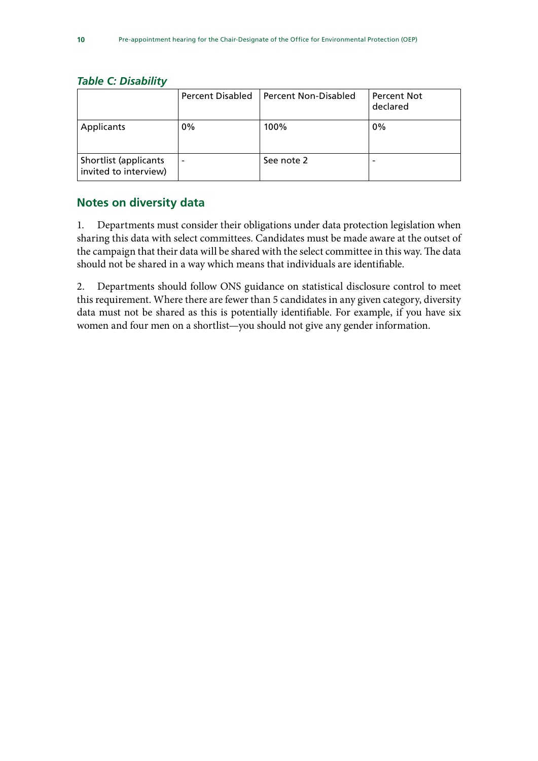#### *Table C: Disability*

|                                                | <b>Percent Disabled</b>  | l Percent Non-Disabled | <b>Percent Not</b><br>declared |
|------------------------------------------------|--------------------------|------------------------|--------------------------------|
| Applicants                                     | 0%                       | 100%                   | 0%                             |
| Shortlist (applicants<br>invited to interview) | $\overline{\phantom{0}}$ | See note 2             | -                              |

### **Notes on diversity data**

1. Departments must consider their obligations under data protection legislation when sharing this data with select committees. Candidates must be made aware at the outset of the campaign that their data will be shared with the select committee in this way. The data should not be shared in a way which means that individuals are identifiable.

2. Departments should follow ONS guidance on statistical disclosure control to meet this requirement. Where there are fewer than 5 candidates in any given category, diversity data must not be shared as this is potentially identifiable. For example, if you have six women and four men on a shortlist—you should not give any gender information.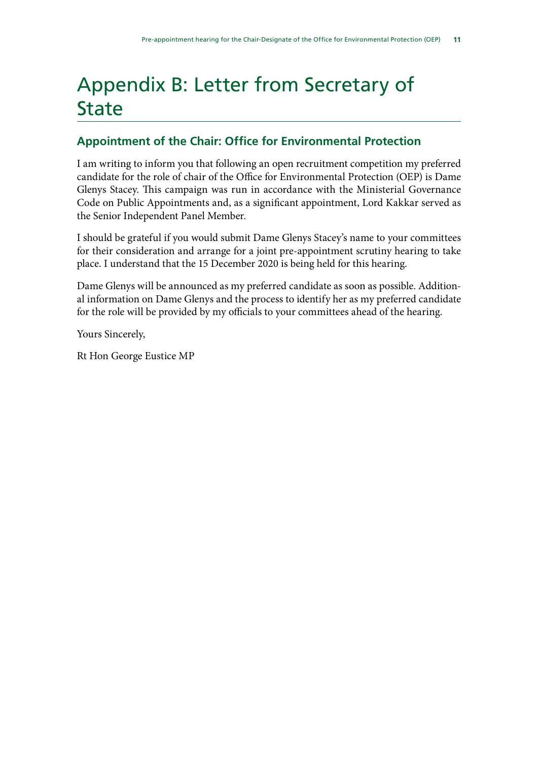# <span id="page-14-0"></span>Appendix B: Letter from Secretary of State

## **Appointment of the Chair: Office for Environmental Protection**

I am writing to inform you that following an open recruitment competition my preferred candidate for the role of chair of the Office for Environmental Protection (OEP) is Dame Glenys Stacey. This campaign was run in accordance with the Ministerial Governance Code on Public Appointments and, as a significant appointment, Lord Kakkar served as the Senior Independent Panel Member.

I should be grateful if you would submit Dame Glenys Stacey's name to your committees for their consideration and arrange for a joint pre-appointment scrutiny hearing to take place. I understand that the 15 December 2020 is being held for this hearing.

Dame Glenys will be announced as my preferred candidate as soon as possible. Additional information on Dame Glenys and the process to identify her as my preferred candidate for the role will be provided by my officials to your committees ahead of the hearing.

Yours Sincerely,

Rt Hon George Eustice MP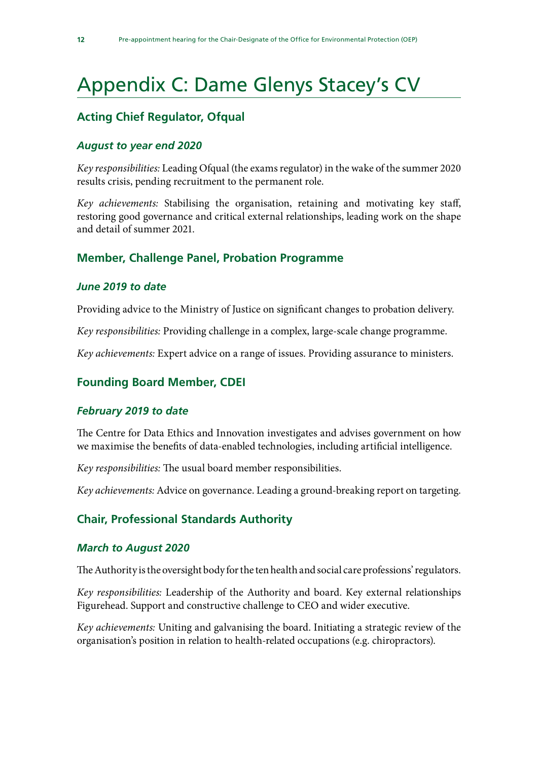# <span id="page-15-0"></span>Appendix C: Dame Glenys Stacey's CV

## **Acting Chief Regulator, Ofqual**

#### *August to year end 2020*

*Key responsibilities:* Leading Ofqual (the exams regulator) in the wake of the summer 2020 results crisis, pending recruitment to the permanent role.

*Key achievements:* Stabilising the organisation, retaining and motivating key staff, restoring good governance and critical external relationships, leading work on the shape and detail of summer 2021.

### **Member, Challenge Panel, Probation Programme**

#### *June 2019 to date*

Providing advice to the Ministry of Justice on significant changes to probation delivery.

*Key responsibilities:* Providing challenge in a complex, large-scale change programme.

*Key achievements:* Expert advice on a range of issues. Providing assurance to ministers.

#### **Founding Board Member, CDEI**

#### *February 2019 to date*

The Centre for Data Ethics and Innovation investigates and advises government on how we maximise the benefits of data-enabled technologies, including artificial intelligence.

*Key responsibilities:* The usual board member responsibilities.

*Key achievements:* Advice on governance. Leading a ground-breaking report on targeting.

### **Chair, Professional Standards Authority**

#### *March to August 2020*

The Authority is the oversight body for the ten health and social care professions' regulators.

*Key responsibilities:* Leadership of the Authority and board. Key external relationships Figurehead. Support and constructive challenge to CEO and wider executive.

*Key achievements:* Uniting and galvanising the board. Initiating a strategic review of the organisation's position in relation to health-related occupations (e.g. chiropractors).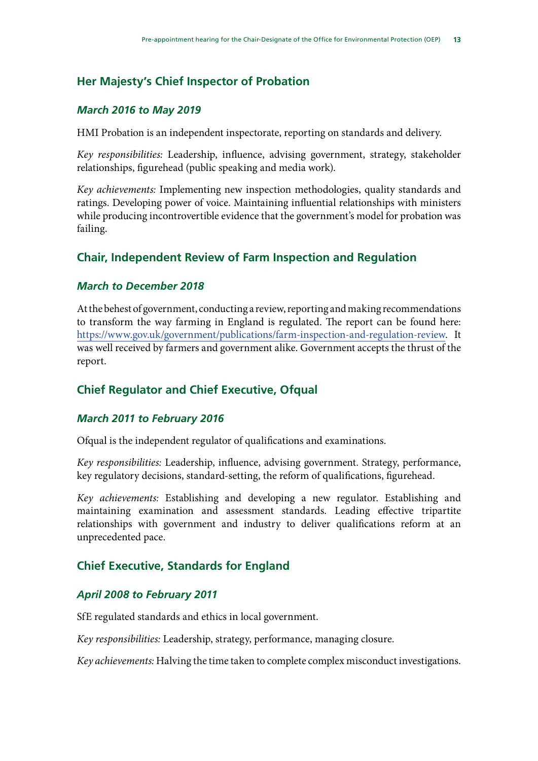## **Her Majesty's Chief Inspector of Probation**

### *March 2016 to May 2019*

HMI Probation is an independent inspectorate, reporting on standards and delivery.

*Key responsibilities:* Leadership, influence, advising government, strategy, stakeholder relationships, figurehead (public speaking and media work).

*Key achievements:* Implementing new inspection methodologies, quality standards and ratings. Developing power of voice. Maintaining influential relationships with ministers while producing incontrovertible evidence that the government's model for probation was failing.

## **Chair, Independent Review of Farm Inspection and Regulation**

### *March to December 2018*

At the behest of government, conducting a review, reporting and making recommendations to transform the way farming in England is regulated. The report can be found here: [https://www.gov.uk/government/publications/farm-inspection-and-regulation-review.](https://www.gov.uk/government/publications/farm-inspection-and-regulation-review) It was well received by farmers and government alike. Government accepts the thrust of the report.

## **Chief Regulator and Chief Executive, Ofqual**

#### *March 2011 to February 2016*

Ofqual is the independent regulator of qualifications and examinations.

*Key responsibilities:* Leadership, influence, advising government. Strategy, performance, key regulatory decisions, standard-setting, the reform of qualifications, figurehead.

*Key achievements:* Establishing and developing a new regulator. Establishing and maintaining examination and assessment standards. Leading effective tripartite relationships with government and industry to deliver qualifications reform at an unprecedented pace.

## **Chief Executive, Standards for England**

### *April 2008 to February 2011*

SfE regulated standards and ethics in local government.

*Key responsibilities:* Leadership, strategy, performance, managing closure.

*Key achievements:* Halving the time taken to complete complex misconduct investigations.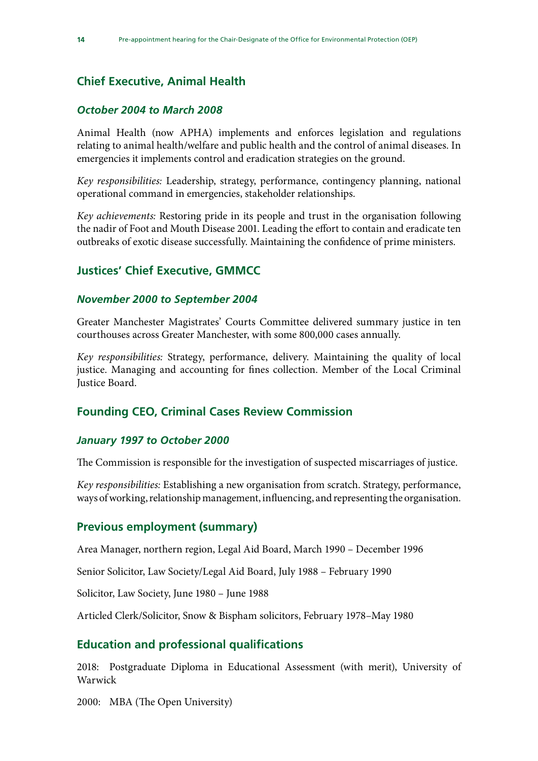## **Chief Executive, Animal Health**

#### *October 2004 to March 2008*

Animal Health (now APHA) implements and enforces legislation and regulations relating to animal health/welfare and public health and the control of animal diseases. In emergencies it implements control and eradication strategies on the ground.

*Key responsibilities:* Leadership, strategy, performance, contingency planning, national operational command in emergencies, stakeholder relationships.

*Key achievements:* Restoring pride in its people and trust in the organisation following the nadir of Foot and Mouth Disease 2001. Leading the effort to contain and eradicate ten outbreaks of exotic disease successfully. Maintaining the confidence of prime ministers.

### **Justices' Chief Executive, GMMCC**

#### *November 2000 to September 2004*

Greater Manchester Magistrates' Courts Committee delivered summary justice in ten courthouses across Greater Manchester, with some 800,000 cases annually.

*Key responsibilities:* Strategy, performance, delivery. Maintaining the quality of local justice. Managing and accounting for fines collection. Member of the Local Criminal Justice Board.

### **Founding CEO, Criminal Cases Review Commission**

#### *January 1997 to October 2000*

The Commission is responsible for the investigation of suspected miscarriages of justice.

*Key responsibilities:* Establishing a new organisation from scratch. Strategy, performance, ways of working, relationship management, influencing, and representing the organisation.

#### **Previous employment (summary)**

Area Manager, northern region, Legal Aid Board, March 1990 – December 1996

Senior Solicitor, Law Society/Legal Aid Board, July 1988 – February 1990

Solicitor, Law Society, June 1980 – June 1988

Articled Clerk/Solicitor, Snow & Bispham solicitors, February 1978–May 1980

### **Education and professional qualifications**

2018: Postgraduate Diploma in Educational Assessment (with merit), University of Warwick

2000: MBA (The Open University)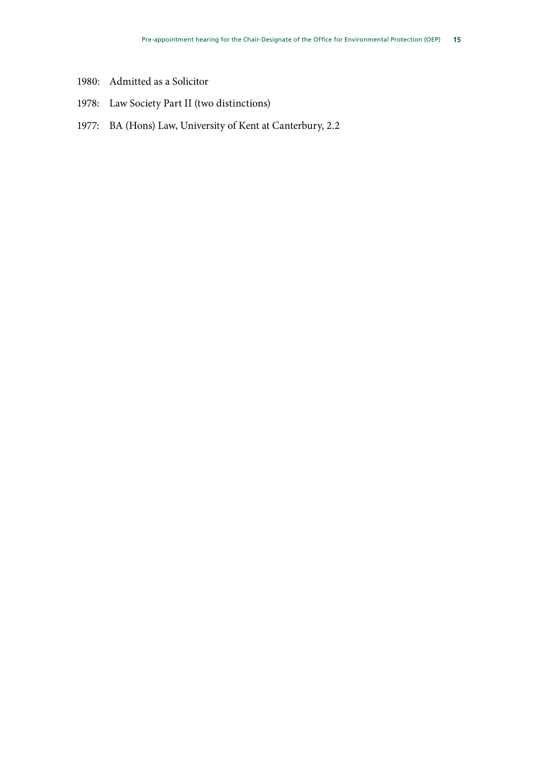- 1980: Admitted as a Solicitor
- 1978: Law Society Part II (two distinctions)
- 1977: BA (Hons) Law, University of Kent at Canterbury, 2.2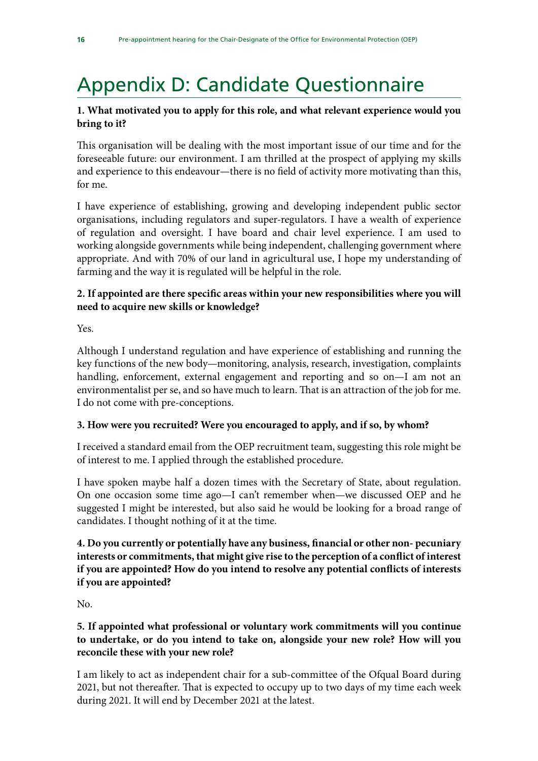# <span id="page-19-0"></span>Appendix D: Candidate Questionnaire

### **1. What motivated you to apply for this role, and what relevant experience would you bring to it?**

This organisation will be dealing with the most important issue of our time and for the foreseeable future: our environment. I am thrilled at the prospect of applying my skills and experience to this endeavour—there is no field of activity more motivating than this, for me.

I have experience of establishing, growing and developing independent public sector organisations, including regulators and super-regulators. I have a wealth of experience of regulation and oversight. I have board and chair level experience. I am used to working alongside governments while being independent, challenging government where appropriate. And with 70% of our land in agricultural use, I hope my understanding of farming and the way it is regulated will be helpful in the role.

### **2. If appointed are there specific areas within your new responsibilities where you will need to acquire new skills or knowledge?**

Yes.

Although I understand regulation and have experience of establishing and running the key functions of the new body—monitoring, analysis, research, investigation, complaints handling, enforcement, external engagement and reporting and so on—I am not an environmentalist per se, and so have much to learn. That is an attraction of the job for me. I do not come with pre-conceptions.

### **3. How were you recruited? Were you encouraged to apply, and if so, by whom?**

I received a standard email from the OEP recruitment team, suggesting this role might be of interest to me. I applied through the established procedure.

I have spoken maybe half a dozen times with the Secretary of State, about regulation. On one occasion some time ago—I can't remember when—we discussed OEP and he suggested I might be interested, but also said he would be looking for a broad range of candidates. I thought nothing of it at the time.

### **4. Do you currently or potentially have any business, financial or other non- pecuniary interests or commitments, that might give rise to the perception of a conflict of interest if you are appointed? How do you intend to resolve any potential conflicts of interests if you are appointed?**

No.

### **5. If appointed what professional or voluntary work commitments will you continue to undertake, or do you intend to take on, alongside your new role? How will you reconcile these with your new role?**

I am likely to act as independent chair for a sub-committee of the Ofqual Board during 2021, but not thereafter. That is expected to occupy up to two days of my time each week during 2021. It will end by December 2021 at the latest.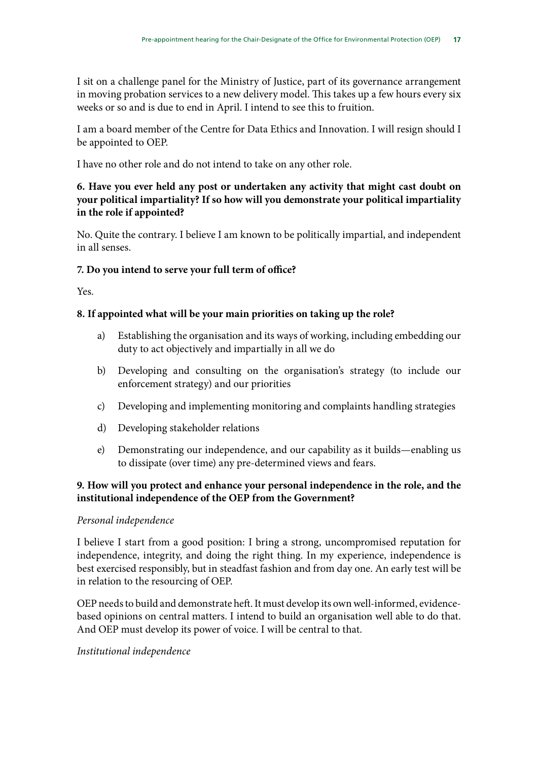I sit on a challenge panel for the Ministry of Justice, part of its governance arrangement in moving probation services to a new delivery model. This takes up a few hours every six weeks or so and is due to end in April. I intend to see this to fruition.

I am a board member of the Centre for Data Ethics and Innovation. I will resign should I be appointed to OEP.

I have no other role and do not intend to take on any other role.

### **6. Have you ever held any post or undertaken any activity that might cast doubt on your political impartiality? If so how will you demonstrate your political impartiality in the role if appointed?**

No. Quite the contrary. I believe I am known to be politically impartial, and independent in all senses.

### **7. Do you intend to serve your full term of office?**

Yes.

### **8. If appointed what will be your main priorities on taking up the role?**

- a) Establishing the organisation and its ways of working, including embedding our duty to act objectively and impartially in all we do
- b) Developing and consulting on the organisation's strategy (to include our enforcement strategy) and our priorities
- c) Developing and implementing monitoring and complaints handling strategies
- d) Developing stakeholder relations
- e) Demonstrating our independence, and our capability as it builds—enabling us to dissipate (over time) any pre-determined views and fears.

### **9. How will you protect and enhance your personal independence in the role, and the institutional independence of the OEP from the Government?**

### *Personal independence*

I believe I start from a good position: I bring a strong, uncompromised reputation for independence, integrity, and doing the right thing. In my experience, independence is best exercised responsibly, but in steadfast fashion and from day one. An early test will be in relation to the resourcing of OEP.

OEP needs to build and demonstrate heft. It must develop its own well-informed, evidencebased opinions on central matters. I intend to build an organisation well able to do that. And OEP must develop its power of voice. I will be central to that.

### *Institutional independence*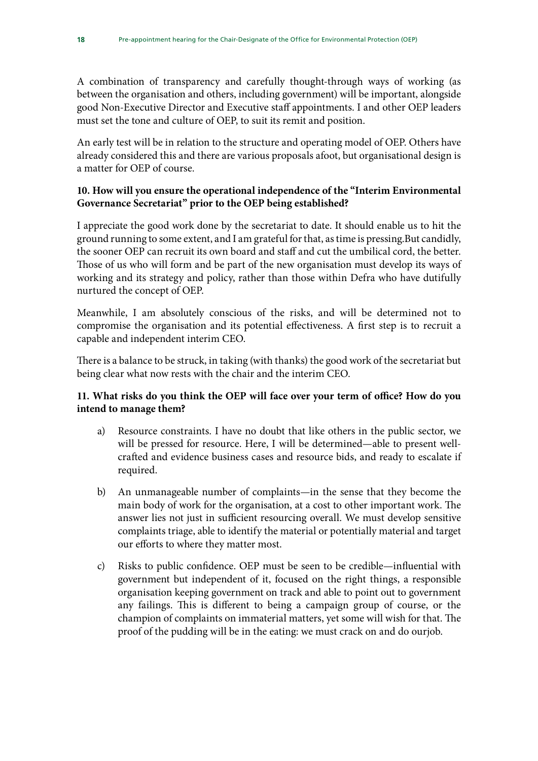A combination of transparency and carefully thought-through ways of working (as between the organisation and others, including government) will be important, alongside good Non-Executive Director and Executive staff appointments. I and other OEP leaders must set the tone and culture of OEP, to suit its remit and position.

An early test will be in relation to the structure and operating model of OEP. Others have already considered this and there are various proposals afoot, but organisational design is a matter for OEP of course.

#### **10. How will you ensure the operational independence of the "Interim Environmental Governance Secretariat" prior to the OEP being established?**

I appreciate the good work done by the secretariat to date. It should enable us to hit the ground running to some extent, and I am grateful for that, as time is pressing.But candidly, the sooner OEP can recruit its own board and staff and cut the umbilical cord, the better. Those of us who will form and be part of the new organisation must develop its ways of working and its strategy and policy, rather than those within Defra who have dutifully nurtured the concept of OEP.

Meanwhile, I am absolutely conscious of the risks, and will be determined not to compromise the organisation and its potential effectiveness. A first step is to recruit a capable and independent interim CEO.

There is a balance to be struck, in taking (with thanks) the good work of the secretariat but being clear what now rests with the chair and the interim CEO.

### **11. What risks do you think the OEP will face over your term of office? How do you intend to manage them?**

- a) Resource constraints. I have no doubt that like others in the public sector, we will be pressed for resource. Here, I will be determined—able to present wellcrafted and evidence business cases and resource bids, and ready to escalate if required.
- b) An unmanageable number of complaints—in the sense that they become the main body of work for the organisation, at a cost to other important work. The answer lies not just in sufficient resourcing overall. We must develop sensitive complaints triage, able to identify the material or potentially material and target our efforts to where they matter most.
- c) Risks to public confidence. OEP must be seen to be credible—influential with government but independent of it, focused on the right things, a responsible organisation keeping government on track and able to point out to government any failings. This is different to being a campaign group of course, or the champion of complaints on immaterial matters, yet some will wish for that. The proof of the pudding will be in the eating: we must crack on and do ourjob.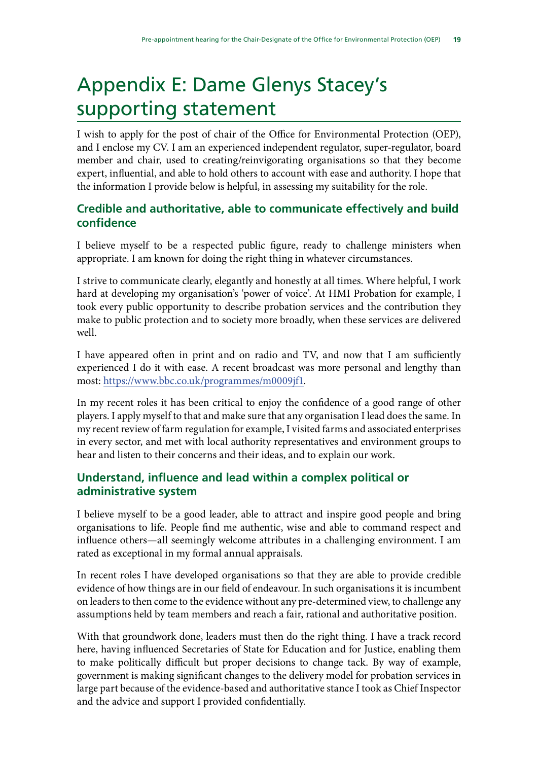# <span id="page-22-0"></span>Appendix E: Dame Glenys Stacey's supporting statement

I wish to apply for the post of chair of the Office for Environmental Protection (OEP), and I enclose my CV. I am an experienced independent regulator, super-regulator, board member and chair, used to creating/reinvigorating organisations so that they become expert, influential, and able to hold others to account with ease and authority. I hope that the information I provide below is helpful, in assessing my suitability for the role.

## **Credible and authoritative, able to communicate effectively and build confidence**

I believe myself to be a respected public figure, ready to challenge ministers when appropriate. I am known for doing the right thing in whatever circumstances.

I strive to communicate clearly, elegantly and honestly at all times. Where helpful, I work hard at developing my organisation's 'power of voice'. At HMI Probation for example, I took every public opportunity to describe probation services and the contribution they make to public protection and to society more broadly, when these services are delivered well.

I have appeared often in print and on radio and TV, and now that I am sufficiently experienced I do it with ease. A recent broadcast was more personal and lengthy than most:<https://www.bbc.co.uk/programmes/m0009jf1>.

In my recent roles it has been critical to enjoy the confidence of a good range of other players. I apply myself to that and make sure that any organisation I lead does the same. In my recent review of farm regulation for example, I visited farms and associated enterprises in every sector, and met with local authority representatives and environment groups to hear and listen to their concerns and their ideas, and to explain our work.

## **Understand, influence and lead within a complex political or administrative system**

I believe myself to be a good leader, able to attract and inspire good people and bring organisations to life. People find me authentic, wise and able to command respect and influence others—all seemingly welcome attributes in a challenging environment. I am rated as exceptional in my formal annual appraisals.

In recent roles I have developed organisations so that they are able to provide credible evidence of how things are in our field of endeavour. In such organisations it is incumbent on leaders to then come to the evidence without any pre-determined view, to challenge any assumptions held by team members and reach a fair, rational and authoritative position.

With that groundwork done, leaders must then do the right thing. I have a track record here, having influenced Secretaries of State for Education and for Justice, enabling them to make politically difficult but proper decisions to change tack. By way of example, government is making significant changes to the delivery model for probation services in large part because of the evidence-based and authoritative stance I took as Chief Inspector and the advice and support I provided confidentially.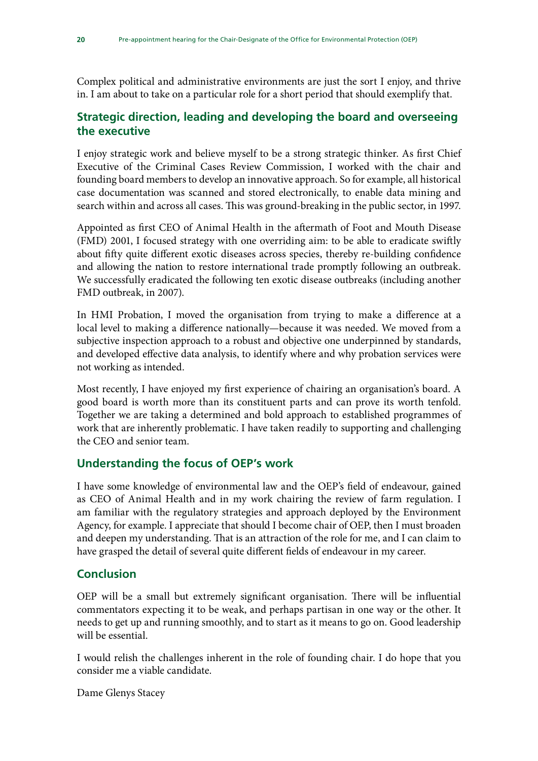Complex political and administrative environments are just the sort I enjoy, and thrive in. I am about to take on a particular role for a short period that should exemplify that.

## **Strategic direction, leading and developing the board and overseeing the executive**

I enjoy strategic work and believe myself to be a strong strategic thinker. As first Chief Executive of the Criminal Cases Review Commission, I worked with the chair and founding board members to develop an innovative approach. So for example, all historical case documentation was scanned and stored electronically, to enable data mining and search within and across all cases. This was ground-breaking in the public sector, in 1997.

Appointed as first CEO of Animal Health in the aftermath of Foot and Mouth Disease (FMD) 2001, I focused strategy with one overriding aim: to be able to eradicate swiftly about fifty quite different exotic diseases across species, thereby re-building confidence and allowing the nation to restore international trade promptly following an outbreak. We successfully eradicated the following ten exotic disease outbreaks (including another FMD outbreak, in 2007).

In HMI Probation, I moved the organisation from trying to make a difference at a local level to making a difference nationally—because it was needed. We moved from a subjective inspection approach to a robust and objective one underpinned by standards, and developed effective data analysis, to identify where and why probation services were not working as intended.

Most recently, I have enjoyed my first experience of chairing an organisation's board. A good board is worth more than its constituent parts and can prove its worth tenfold. Together we are taking a determined and bold approach to established programmes of work that are inherently problematic. I have taken readily to supporting and challenging the CEO and senior team.

## **Understanding the focus of OEP's work**

I have some knowledge of environmental law and the OEP's field of endeavour, gained as CEO of Animal Health and in my work chairing the review of farm regulation. I am familiar with the regulatory strategies and approach deployed by the Environment Agency, for example. I appreciate that should I become chair of OEP, then I must broaden and deepen my understanding. That is an attraction of the role for me, and I can claim to have grasped the detail of several quite different fields of endeavour in my career.

### **Conclusion**

OEP will be a small but extremely significant organisation. There will be influential commentators expecting it to be weak, and perhaps partisan in one way or the other. It needs to get up and running smoothly, and to start as it means to go on. Good leadership will be essential.

I would relish the challenges inherent in the role of founding chair. I do hope that you consider me a viable candidate.

Dame Glenys Stacey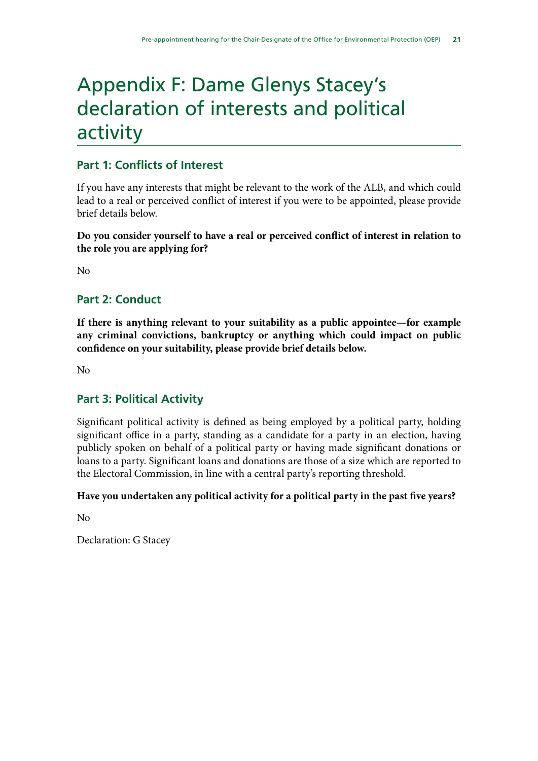# <span id="page-24-0"></span>Appendix F: Dame Glenys Stacey's declaration of interests and political activity

## **Part 1: Conflicts of Interest**

If you have any interests that might be relevant to the work of the ALB, and which could lead to a real or perceived conflict of interest if you were to be appointed, please provide brief details below.

**Do you consider yourself to have a real or perceived conflict of interest in relation to the role you are applying for?**

No

## **Part 2: Conduct**

**If there is anything relevant to your suitability as a public appointee—for example any criminal convictions, bankruptcy or anything which could impact on public confidence on your suitability, please provide brief details below.**

No

## **Part 3: Political Activity**

Significant political activity is defined as being employed by a political party, holding significant office in a party, standing as a candidate for a party in an election, having publicly spoken on behalf of a political party or having made significant donations or loans to a party. Significant loans and donations are those of a size which are reported to the Electoral Commission, in line with a central party's reporting threshold.

#### **Have you undertaken any political activity for a political party in the past five years?**

No

Declaration: G Stacey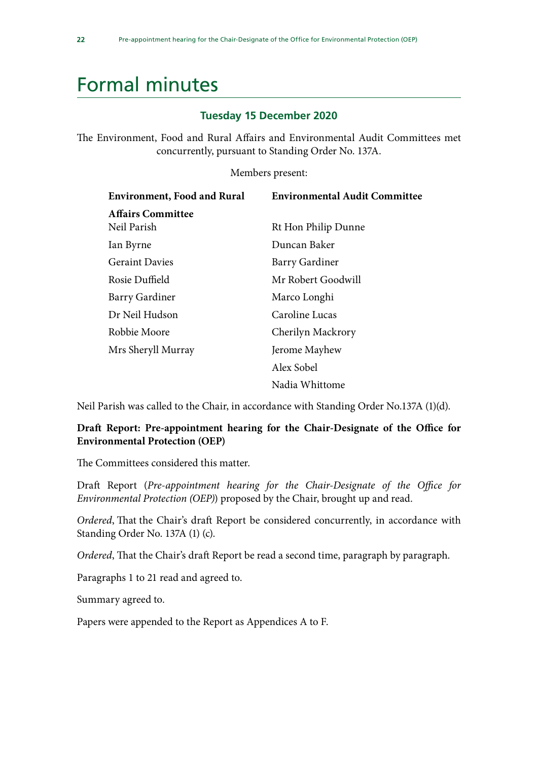# <span id="page-25-0"></span>Formal minutes

#### **Tuesday 15 December 2020**

The Environment, Food and Rural Affairs and Environmental Audit Committees met concurrently, pursuant to Standing Order No. 137A.

Members present:

| <b>Environment, Food and Rural</b> | <b>Environmental Audit Committee</b> |  |
|------------------------------------|--------------------------------------|--|
| <b>Affairs Committee</b>           |                                      |  |
| Neil Parish                        | Rt Hon Philip Dunne                  |  |
| Ian Byrne                          | Duncan Baker                         |  |
| <b>Geraint Davies</b>              | <b>Barry Gardiner</b>                |  |
| Rosie Duffield                     | Mr Robert Goodwill                   |  |
| <b>Barry Gardiner</b>              | Marco Longhi                         |  |
| Dr Neil Hudson                     | Caroline Lucas                       |  |
| Robbie Moore                       | Cherilyn Mackrory                    |  |
| Mrs Sheryll Murray                 | Jerome Mayhew                        |  |
|                                    | Alex Sobel                           |  |
|                                    | Nadia Whittome                       |  |

Neil Parish was called to the Chair, in accordance with Standing Order No.137A (1)(d).

#### **Draft Report: Pre-appointment hearing for the Chair-Designate of the Office for Environmental Protection (OEP)**

The Committees considered this matter.

Draft Report (*Pre-appointment hearing for the Chair-Designate of the Office for Environmental Protection (OEP)*) proposed by the Chair, brought up and read.

*Ordered*, That the Chair's draft Report be considered concurrently, in accordance with Standing Order No. 137A (1) (c).

*Ordered*, That the Chair's draft Report be read a second time, paragraph by paragraph.

Paragraphs 1 to 21 read and agreed to.

Summary agreed to.

Papers were appended to the Report as Appendices A to F.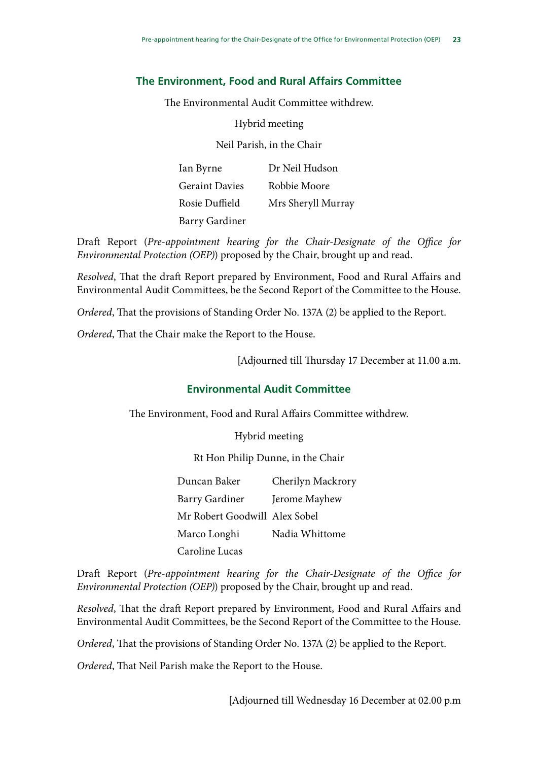### **The Environment, Food and Rural Affairs Committee**

The Environmental Audit Committee withdrew.

Hybrid meeting

Neil Parish, in the Chair

Ian Byrne Geraint Davies Rosie Duffield Barry Gardiner Dr Neil Hudson Robbie Moore Mrs Sheryll Murray

Draft Report (*Pre-appointment hearing for the Chair-Designate of the Office for Environmental Protection (OEP)*) proposed by the Chair, brought up and read.

*Resolved*, That the draft Report prepared by Environment, Food and Rural Affairs and Environmental Audit Committees, be the Second Report of the Committee to the House.

*Ordered*, That the provisions of Standing Order No. 137A (2) be applied to the Report.

*Ordered*, That the Chair make the Report to the House.

[Adjourned till Thursday 17 December at 11.00 a.m.

### **Environmental Audit Committee**

The Environment, Food and Rural Affairs Committee withdrew.

Hybrid meeting

Rt Hon Philip Dunne, in the Chair

Duncan Baker Barry Gardiner Mr Robert Goodwill Alex Sobel Marco Longhi Caroline Lucas Cherilyn Mackrory Jerome Mayhew Nadia Whittome

Draft Report (*Pre-appointment hearing for the Chair-Designate of the Office for Environmental Protection (OEP)*) proposed by the Chair, brought up and read.

*Resolved*, That the draft Report prepared by Environment, Food and Rural Affairs and Environmental Audit Committees, be the Second Report of the Committee to the House.

*Ordered*, That the provisions of Standing Order No. 137A (2) be applied to the Report.

*Ordered*, That Neil Parish make the Report to the House.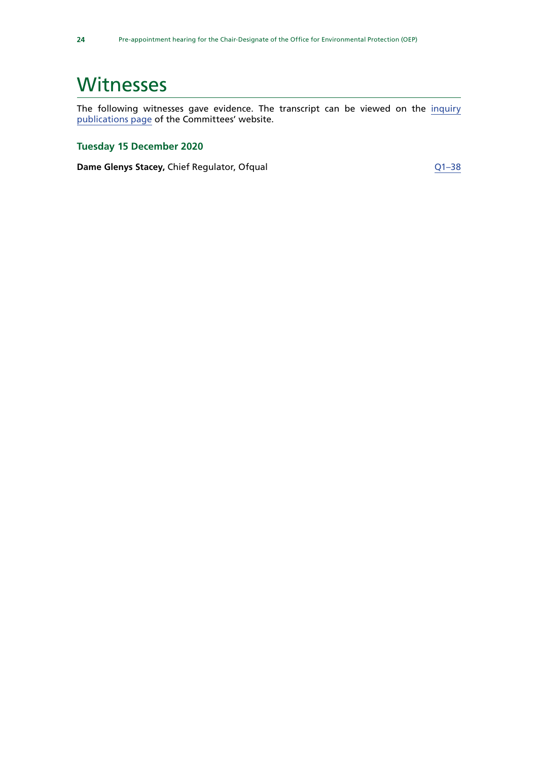# <span id="page-27-0"></span>**Witnesses**

The following witnesses gave evidence. The transcript can be viewed on the [inquiry](https://committees.parliament.uk/work/853/preappointment-hearing-for-the-chairdesignate-of-the-office-for-environmental-protection/) [publications page](https://committees.parliament.uk/work/853/preappointment-hearing-for-the-chairdesignate-of-the-office-for-environmental-protection/) of the Committees' website.

## **Tuesday 15 December 2020**

**Dame Glenys Stacey, Chief Regulator, Ofqual discussed and [Q1–38](https://committees.parliament.uk/oralevidence/1402/default/)**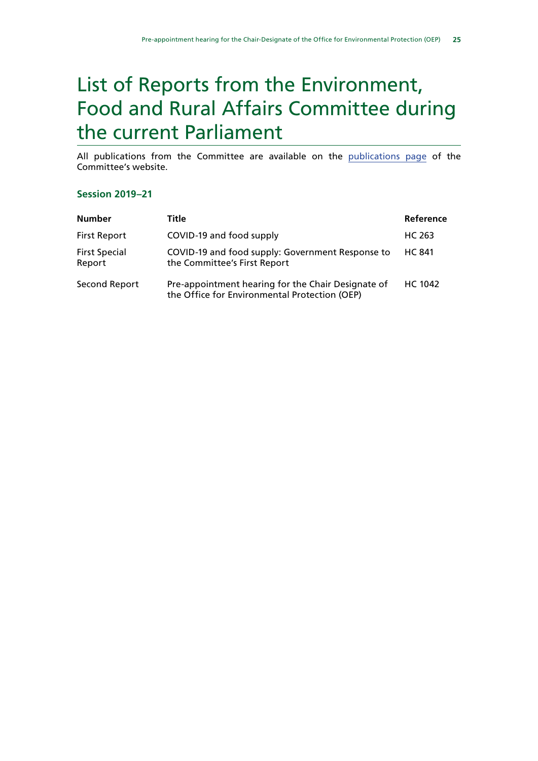# <span id="page-28-0"></span>List of Reports from the Environment, Food and Rural Affairs Committee during the current Parliament

All publications from the Committee are available on the [publications page](https://committees.parliament.uk/committee/52/environment-food-and-rural-affairs-committee/publications/ ) of the Committee's website.

#### **Session 2019–21**

| <b>Number</b>                  | Title                                                                                               | Reference     |
|--------------------------------|-----------------------------------------------------------------------------------------------------|---------------|
| <b>First Report</b>            | COVID-19 and food supply                                                                            | HC 263        |
| <b>First Special</b><br>Report | COVID-19 and food supply: Government Response to<br>the Committee's First Report                    | <b>HC 841</b> |
| Second Report                  | Pre-appointment hearing for the Chair Designate of<br>the Office for Environmental Protection (OEP) | HC 1042       |